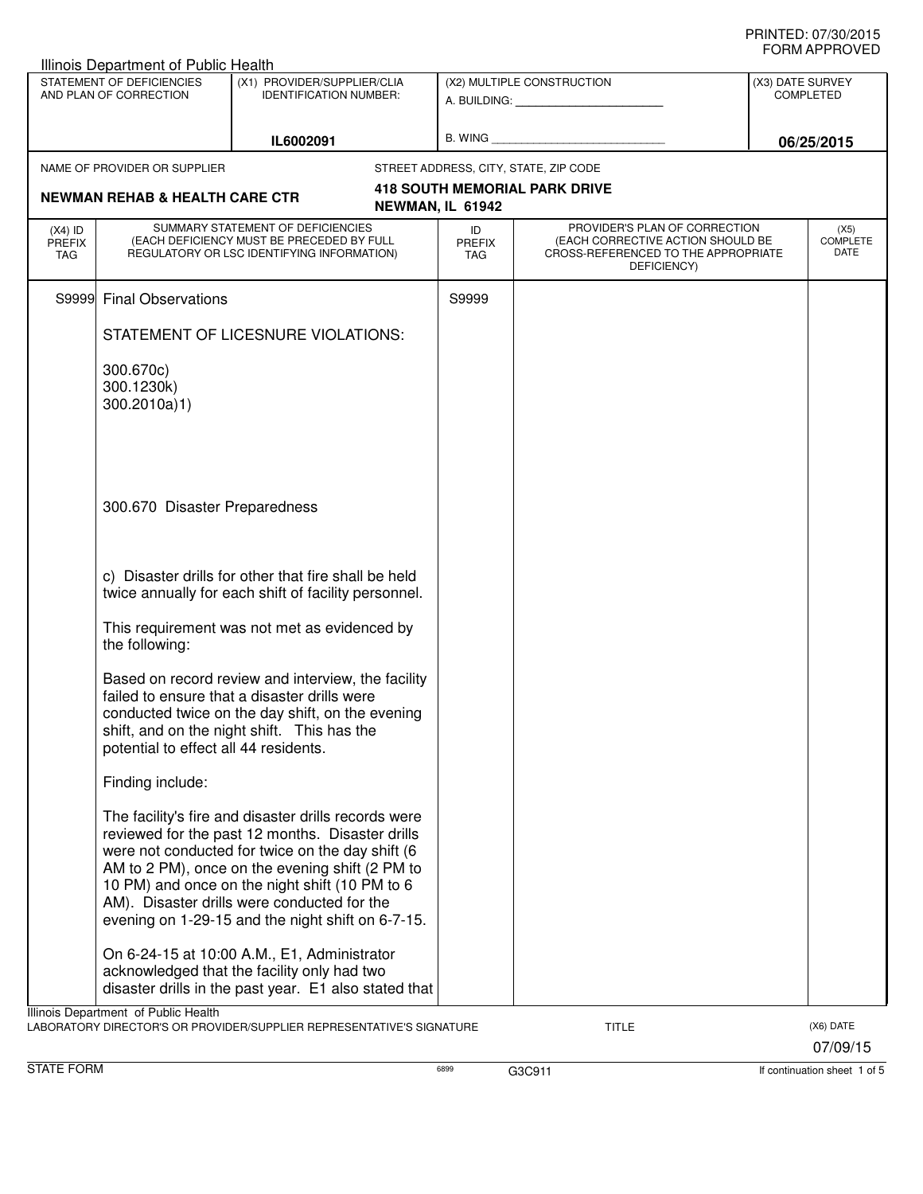| STATEMENT OF DEFICIENCIES<br>AND PLAN OF CORRECTION |                                           | (X1) PROVIDER/SUPPLIER/CLIA<br><b>IDENTIFICATION NUMBER:</b>                                                                                                                                                                                                                                                                                                          |                                       | (X2) MULTIPLE CONSTRUCTION                                                                                               |  | (X3) DATE SURVEY<br><b>COMPLETED</b> |  |
|-----------------------------------------------------|-------------------------------------------|-----------------------------------------------------------------------------------------------------------------------------------------------------------------------------------------------------------------------------------------------------------------------------------------------------------------------------------------------------------------------|---------------------------------------|--------------------------------------------------------------------------------------------------------------------------|--|--------------------------------------|--|
|                                                     |                                           | IL6002091                                                                                                                                                                                                                                                                                                                                                             |                                       |                                                                                                                          |  | 06/25/2015                           |  |
|                                                     | NAME OF PROVIDER OR SUPPLIER              |                                                                                                                                                                                                                                                                                                                                                                       | STREET ADDRESS, CITY, STATE, ZIP CODE |                                                                                                                          |  |                                      |  |
|                                                     | <b>NEWMAN REHAB &amp; HEALTH CARE CTR</b> |                                                                                                                                                                                                                                                                                                                                                                       | NEWMAN, IL 61942                      | <b>418 SOUTH MEMORIAL PARK DRIVE</b>                                                                                     |  |                                      |  |
| $(X4)$ ID<br><b>PREFIX</b><br><b>TAG</b>            |                                           | SUMMARY STATEMENT OF DEFICIENCIES<br>(EACH DEFICIENCY MUST BE PRECEDED BY FULL<br>REGULATORY OR LSC IDENTIFYING INFORMATION)                                                                                                                                                                                                                                          | ID<br>PREFIX<br><b>TAG</b>            | PROVIDER'S PLAN OF CORRECTION<br>(EACH CORRECTIVE ACTION SHOULD BE<br>CROSS-REFERENCED TO THE APPROPRIATE<br>DEFICIENCY) |  | (X5)<br><b>COMPLETE</b><br>DATE      |  |
| S9999                                               | <b>Final Observations</b>                 |                                                                                                                                                                                                                                                                                                                                                                       | S9999                                 |                                                                                                                          |  |                                      |  |
|                                                     |                                           | STATEMENT OF LICESNURE VIOLATIONS:                                                                                                                                                                                                                                                                                                                                    |                                       |                                                                                                                          |  |                                      |  |
|                                                     | 300.670c)<br>300.1230k)<br>300.2010a)1)   |                                                                                                                                                                                                                                                                                                                                                                       |                                       |                                                                                                                          |  |                                      |  |
|                                                     | 300.670 Disaster Preparedness             |                                                                                                                                                                                                                                                                                                                                                                       |                                       |                                                                                                                          |  |                                      |  |
|                                                     |                                           | c) Disaster drills for other that fire shall be held<br>twice annually for each shift of facility personnel.                                                                                                                                                                                                                                                          |                                       |                                                                                                                          |  |                                      |  |
|                                                     | the following:                            | This requirement was not met as evidenced by                                                                                                                                                                                                                                                                                                                          |                                       |                                                                                                                          |  |                                      |  |
|                                                     | potential to effect all 44 residents.     | Based on record review and interview, the facility<br>failed to ensure that a disaster drills were<br>conducted twice on the day shift, on the evening<br>shift, and on the night shift. This has the                                                                                                                                                                 |                                       |                                                                                                                          |  |                                      |  |
|                                                     | Finding include:                          |                                                                                                                                                                                                                                                                                                                                                                       |                                       |                                                                                                                          |  |                                      |  |
|                                                     |                                           | The facility's fire and disaster drills records were<br>reviewed for the past 12 months. Disaster drills<br>were not conducted for twice on the day shift (6<br>AM to 2 PM), once on the evening shift (2 PM to<br>10 PM) and once on the night shift (10 PM to 6<br>AM). Disaster drills were conducted for the<br>evening on 1-29-15 and the night shift on 6-7-15. |                                       |                                                                                                                          |  |                                      |  |
|                                                     |                                           | On 6-24-15 at 10:00 A.M., E1, Administrator<br>acknowledged that the facility only had two<br>disaster drills in the past year. E1 also stated that                                                                                                                                                                                                                   |                                       |                                                                                                                          |  |                                      |  |
|                                                     | Illinois Department of Public Health      | LABORATORY DIRECTOR'S OR PROVIDER/SUPPLIER REPRESENTATIVE'S SIGNATURE                                                                                                                                                                                                                                                                                                 |                                       | TITLE                                                                                                                    |  | (X6) DATE<br>07/09/15                |  |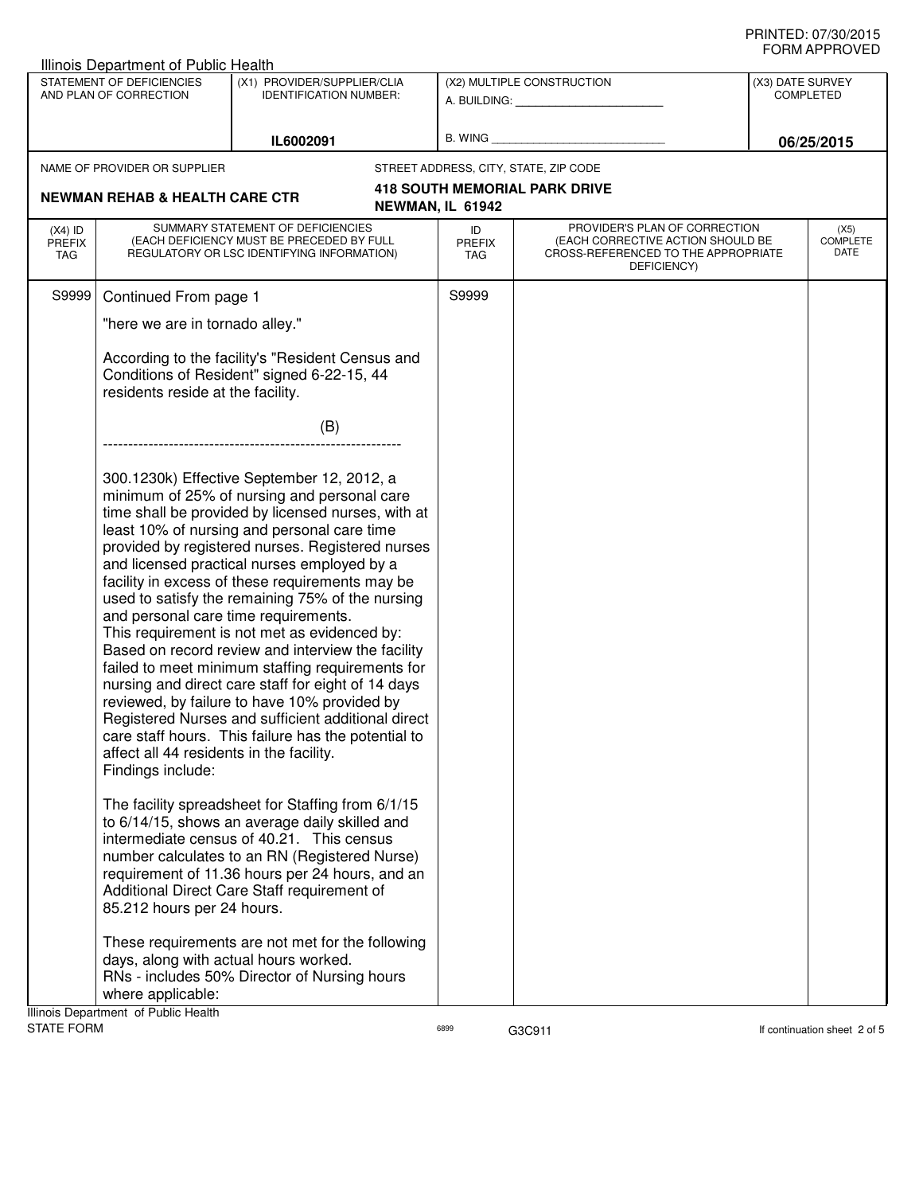|                                                                                                                                  | Illinois Department of Public Health                                                                                                                                                                                                                                                                                                                                                                                                                                                                                                                                                                                                                                                                                                                                                                                                                                                          |                                                                                                                                                                                                                                                                                                     |                            |                                                                                                                          |  |                                                    |  |
|----------------------------------------------------------------------------------------------------------------------------------|-----------------------------------------------------------------------------------------------------------------------------------------------------------------------------------------------------------------------------------------------------------------------------------------------------------------------------------------------------------------------------------------------------------------------------------------------------------------------------------------------------------------------------------------------------------------------------------------------------------------------------------------------------------------------------------------------------------------------------------------------------------------------------------------------------------------------------------------------------------------------------------------------|-----------------------------------------------------------------------------------------------------------------------------------------------------------------------------------------------------------------------------------------------------------------------------------------------------|----------------------------|--------------------------------------------------------------------------------------------------------------------------|--|----------------------------------------------------|--|
| STATEMENT OF DEFICIENCIES<br>(X1) PROVIDER/SUPPLIER/CLIA<br>AND PLAN OF CORRECTION<br><b>IDENTIFICATION NUMBER:</b><br>IL6002091 |                                                                                                                                                                                                                                                                                                                                                                                                                                                                                                                                                                                                                                                                                                                                                                                                                                                                                               |                                                                                                                                                                                                                                                                                                     |                            | (X2) MULTIPLE CONSTRUCTION<br>A. BUILDING: A. BUILDING:                                                                  |  | (X3) DATE SURVEY<br><b>COMPLETED</b><br>06/25/2015 |  |
|                                                                                                                                  |                                                                                                                                                                                                                                                                                                                                                                                                                                                                                                                                                                                                                                                                                                                                                                                                                                                                                               | B. WING                                                                                                                                                                                                                                                                                             |                            |                                                                                                                          |  |                                                    |  |
|                                                                                                                                  | NAME OF PROVIDER OR SUPPLIER                                                                                                                                                                                                                                                                                                                                                                                                                                                                                                                                                                                                                                                                                                                                                                                                                                                                  |                                                                                                                                                                                                                                                                                                     |                            | STREET ADDRESS, CITY, STATE, ZIP CODE                                                                                    |  |                                                    |  |
|                                                                                                                                  |                                                                                                                                                                                                                                                                                                                                                                                                                                                                                                                                                                                                                                                                                                                                                                                                                                                                                               |                                                                                                                                                                                                                                                                                                     |                            | <b>418 SOUTH MEMORIAL PARK DRIVE</b>                                                                                     |  |                                                    |  |
|                                                                                                                                  | <b>NEWMAN REHAB &amp; HEALTH CARE CTR</b>                                                                                                                                                                                                                                                                                                                                                                                                                                                                                                                                                                                                                                                                                                                                                                                                                                                     |                                                                                                                                                                                                                                                                                                     | NEWMAN, IL 61942           |                                                                                                                          |  |                                                    |  |
| $(X4)$ ID<br><b>PREFIX</b><br><b>TAG</b>                                                                                         |                                                                                                                                                                                                                                                                                                                                                                                                                                                                                                                                                                                                                                                                                                                                                                                                                                                                                               | SUMMARY STATEMENT OF DEFICIENCIES<br>(EACH DEFICIENCY MUST BE PRECEDED BY FULL<br>REGULATORY OR LSC IDENTIFYING INFORMATION)                                                                                                                                                                        | ID<br><b>PREFIX</b><br>TAG | PROVIDER'S PLAN OF CORRECTION<br>(EACH CORRECTIVE ACTION SHOULD BE<br>CROSS-REFERENCED TO THE APPROPRIATE<br>DEFICIENCY) |  | (X5)<br><b>COMPLETE</b><br>DATE                    |  |
| S9999                                                                                                                            | Continued From page 1                                                                                                                                                                                                                                                                                                                                                                                                                                                                                                                                                                                                                                                                                                                                                                                                                                                                         |                                                                                                                                                                                                                                                                                                     | S9999                      |                                                                                                                          |  |                                                    |  |
|                                                                                                                                  | "here we are in tornado alley."                                                                                                                                                                                                                                                                                                                                                                                                                                                                                                                                                                                                                                                                                                                                                                                                                                                               |                                                                                                                                                                                                                                                                                                     |                            |                                                                                                                          |  |                                                    |  |
|                                                                                                                                  | According to the facility's "Resident Census and<br>Conditions of Resident" signed 6-22-15, 44<br>residents reside at the facility.                                                                                                                                                                                                                                                                                                                                                                                                                                                                                                                                                                                                                                                                                                                                                           |                                                                                                                                                                                                                                                                                                     |                            |                                                                                                                          |  |                                                    |  |
|                                                                                                                                  |                                                                                                                                                                                                                                                                                                                                                                                                                                                                                                                                                                                                                                                                                                                                                                                                                                                                                               | (B)                                                                                                                                                                                                                                                                                                 |                            |                                                                                                                          |  |                                                    |  |
|                                                                                                                                  |                                                                                                                                                                                                                                                                                                                                                                                                                                                                                                                                                                                                                                                                                                                                                                                                                                                                                               |                                                                                                                                                                                                                                                                                                     |                            |                                                                                                                          |  |                                                    |  |
|                                                                                                                                  | 300.1230k) Effective September 12, 2012, a<br>minimum of 25% of nursing and personal care<br>time shall be provided by licensed nurses, with at<br>least 10% of nursing and personal care time<br>provided by registered nurses. Registered nurses<br>and licensed practical nurses employed by a<br>facility in excess of these requirements may be<br>used to satisfy the remaining 75% of the nursing<br>and personal care time requirements.<br>This requirement is not met as evidenced by:<br>Based on record review and interview the facility<br>failed to meet minimum staffing requirements for<br>nursing and direct care staff for eight of 14 days<br>reviewed, by failure to have 10% provided by<br>Registered Nurses and sufficient additional direct<br>care staff hours. This failure has the potential to<br>affect all 44 residents in the facility.<br>Findings include: |                                                                                                                                                                                                                                                                                                     |                            |                                                                                                                          |  |                                                    |  |
|                                                                                                                                  | 85.212 hours per 24 hours.                                                                                                                                                                                                                                                                                                                                                                                                                                                                                                                                                                                                                                                                                                                                                                                                                                                                    | The facility spreadsheet for Staffing from 6/1/15<br>to 6/14/15, shows an average daily skilled and<br>intermediate census of 40.21. This census<br>number calculates to an RN (Registered Nurse)<br>requirement of 11.36 hours per 24 hours, and an<br>Additional Direct Care Staff requirement of |                            |                                                                                                                          |  |                                                    |  |
|                                                                                                                                  | days, along with actual hours worked.<br>where applicable:<br>Illinois Department of Public Health                                                                                                                                                                                                                                                                                                                                                                                                                                                                                                                                                                                                                                                                                                                                                                                            | These requirements are not met for the following<br>RNs - includes 50% Director of Nursing hours                                                                                                                                                                                                    |                            |                                                                                                                          |  |                                                    |  |
| STATE FORM                                                                                                                       |                                                                                                                                                                                                                                                                                                                                                                                                                                                                                                                                                                                                                                                                                                                                                                                                                                                                                               |                                                                                                                                                                                                                                                                                                     | 6899                       | G3C911                                                                                                                   |  | If continuation sheet 2 of 5                       |  |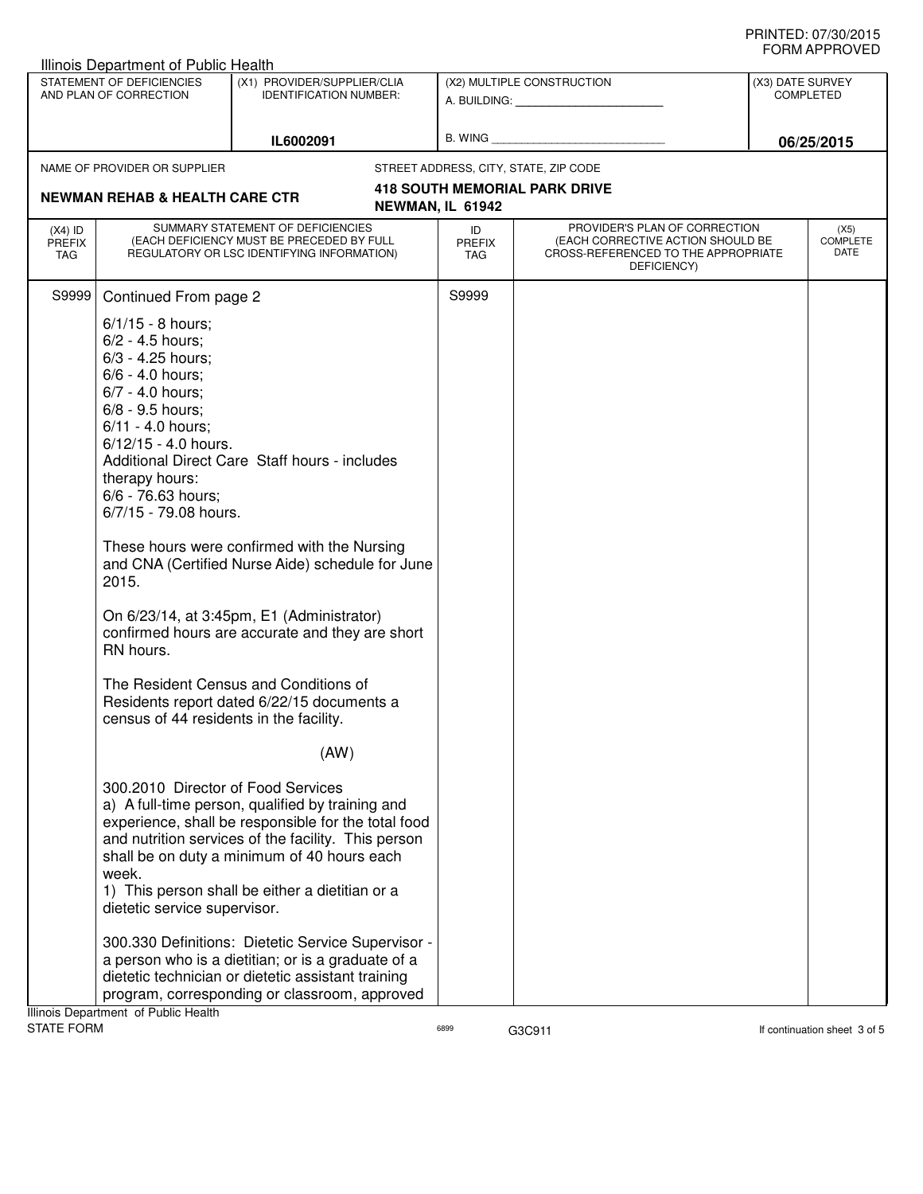|                                                     | Illinois Department of Public Health                                        |                                                                                                                                                                                                                                                                  |                                   |                                                                                                                          |                                      |                                 |  |
|-----------------------------------------------------|-----------------------------------------------------------------------------|------------------------------------------------------------------------------------------------------------------------------------------------------------------------------------------------------------------------------------------------------------------|-----------------------------------|--------------------------------------------------------------------------------------------------------------------------|--------------------------------------|---------------------------------|--|
| STATEMENT OF DEFICIENCIES<br>AND PLAN OF CORRECTION |                                                                             | (X1) PROVIDER/SUPPLIER/CLIA<br><b>IDENTIFICATION NUMBER:</b>                                                                                                                                                                                                     |                                   | (X2) MULTIPLE CONSTRUCTION                                                                                               | (X3) DATE SURVEY<br><b>COMPLETED</b> |                                 |  |
|                                                     |                                                                             |                                                                                                                                                                                                                                                                  |                                   | A. BUILDING: <b>A. BUILDING:</b>                                                                                         |                                      |                                 |  |
|                                                     | IL6002091                                                                   |                                                                                                                                                                                                                                                                  |                                   | B. WING <b>Example 2008</b>                                                                                              |                                      | 06/25/2015                      |  |
|                                                     | NAME OF PROVIDER OR SUPPLIER                                                |                                                                                                                                                                                                                                                                  |                                   | STREET ADDRESS, CITY, STATE, ZIP CODE                                                                                    |                                      |                                 |  |
|                                                     | <b>NEWMAN REHAB &amp; HEALTH CARE CTR</b>                                   |                                                                                                                                                                                                                                                                  |                                   | <b>418 SOUTH MEMORIAL PARK DRIVE</b>                                                                                     |                                      |                                 |  |
|                                                     |                                                                             |                                                                                                                                                                                                                                                                  | NEWMAN, IL 61942                  |                                                                                                                          |                                      |                                 |  |
| $(X4)$ ID<br><b>PREFIX</b><br><b>TAG</b>            |                                                                             | SUMMARY STATEMENT OF DEFICIENCIES<br>(EACH DEFICIENCY MUST BE PRECEDED BY FULL<br>REGULATORY OR LSC IDENTIFYING INFORMATION)                                                                                                                                     | ID<br><b>PREFIX</b><br><b>TAG</b> | PROVIDER'S PLAN OF CORRECTION<br>(EACH CORRECTIVE ACTION SHOULD BE<br>CROSS-REFERENCED TO THE APPROPRIATE<br>DEFICIENCY) |                                      | (X5)<br><b>COMPLETE</b><br>DATE |  |
| S9999                                               | Continued From page 2                                                       |                                                                                                                                                                                                                                                                  | S9999                             |                                                                                                                          |                                      |                                 |  |
|                                                     | $6/1/15 - 8$ hours;                                                         |                                                                                                                                                                                                                                                                  |                                   |                                                                                                                          |                                      |                                 |  |
|                                                     | $6/2 - 4.5$ hours;                                                          |                                                                                                                                                                                                                                                                  |                                   |                                                                                                                          |                                      |                                 |  |
|                                                     | 6/3 - 4.25 hours;                                                           |                                                                                                                                                                                                                                                                  |                                   |                                                                                                                          |                                      |                                 |  |
|                                                     | 6/6 - 4.0 hours:                                                            |                                                                                                                                                                                                                                                                  |                                   |                                                                                                                          |                                      |                                 |  |
|                                                     | 6/7 - 4.0 hours;<br>6/8 - 9.5 hours;                                        |                                                                                                                                                                                                                                                                  |                                   |                                                                                                                          |                                      |                                 |  |
|                                                     | 6/11 - 4.0 hours:                                                           |                                                                                                                                                                                                                                                                  |                                   |                                                                                                                          |                                      |                                 |  |
|                                                     | 6/12/15 - 4.0 hours.                                                        |                                                                                                                                                                                                                                                                  |                                   |                                                                                                                          |                                      |                                 |  |
|                                                     |                                                                             | Additional Direct Care Staff hours - includes                                                                                                                                                                                                                    |                                   |                                                                                                                          |                                      |                                 |  |
|                                                     | therapy hours:                                                              |                                                                                                                                                                                                                                                                  |                                   |                                                                                                                          |                                      |                                 |  |
|                                                     | 6/6 - 76.63 hours;                                                          |                                                                                                                                                                                                                                                                  |                                   |                                                                                                                          |                                      |                                 |  |
|                                                     | 6/7/15 - 79.08 hours.                                                       |                                                                                                                                                                                                                                                                  |                                   |                                                                                                                          |                                      |                                 |  |
|                                                     | 2015.                                                                       | These hours were confirmed with the Nursing<br>and CNA (Certified Nurse Aide) schedule for June                                                                                                                                                                  |                                   |                                                                                                                          |                                      |                                 |  |
|                                                     | RN hours.                                                                   | On 6/23/14, at 3:45pm, E1 (Administrator)<br>confirmed hours are accurate and they are short                                                                                                                                                                     |                                   |                                                                                                                          |                                      |                                 |  |
|                                                     | census of 44 residents in the facility.                                     | The Resident Census and Conditions of<br>Residents report dated 6/22/15 documents a                                                                                                                                                                              |                                   |                                                                                                                          |                                      |                                 |  |
|                                                     |                                                                             | (AW)                                                                                                                                                                                                                                                             |                                   |                                                                                                                          |                                      |                                 |  |
|                                                     | 300.2010 Director of Food Services<br>week.<br>dietetic service supervisor. | a) A full-time person, qualified by training and<br>experience, shall be responsible for the total food<br>and nutrition services of the facility. This person<br>shall be on duty a minimum of 40 hours each<br>1) This person shall be either a dietitian or a |                                   |                                                                                                                          |                                      |                                 |  |
|                                                     |                                                                             | 300.330 Definitions: Dietetic Service Supervisor -<br>a person who is a dietitian; or is a graduate of a<br>dietetic technician or dietetic assistant training<br>program, corresponding or classroom, approved                                                  |                                   |                                                                                                                          |                                      |                                 |  |
|                                                     | Illinois Department of Public Health                                        |                                                                                                                                                                                                                                                                  |                                   |                                                                                                                          |                                      |                                 |  |
| <b>STATE FORM</b>                                   |                                                                             |                                                                                                                                                                                                                                                                  | 6899                              | G3C911                                                                                                                   |                                      | If continuation sheet 3 of 5    |  |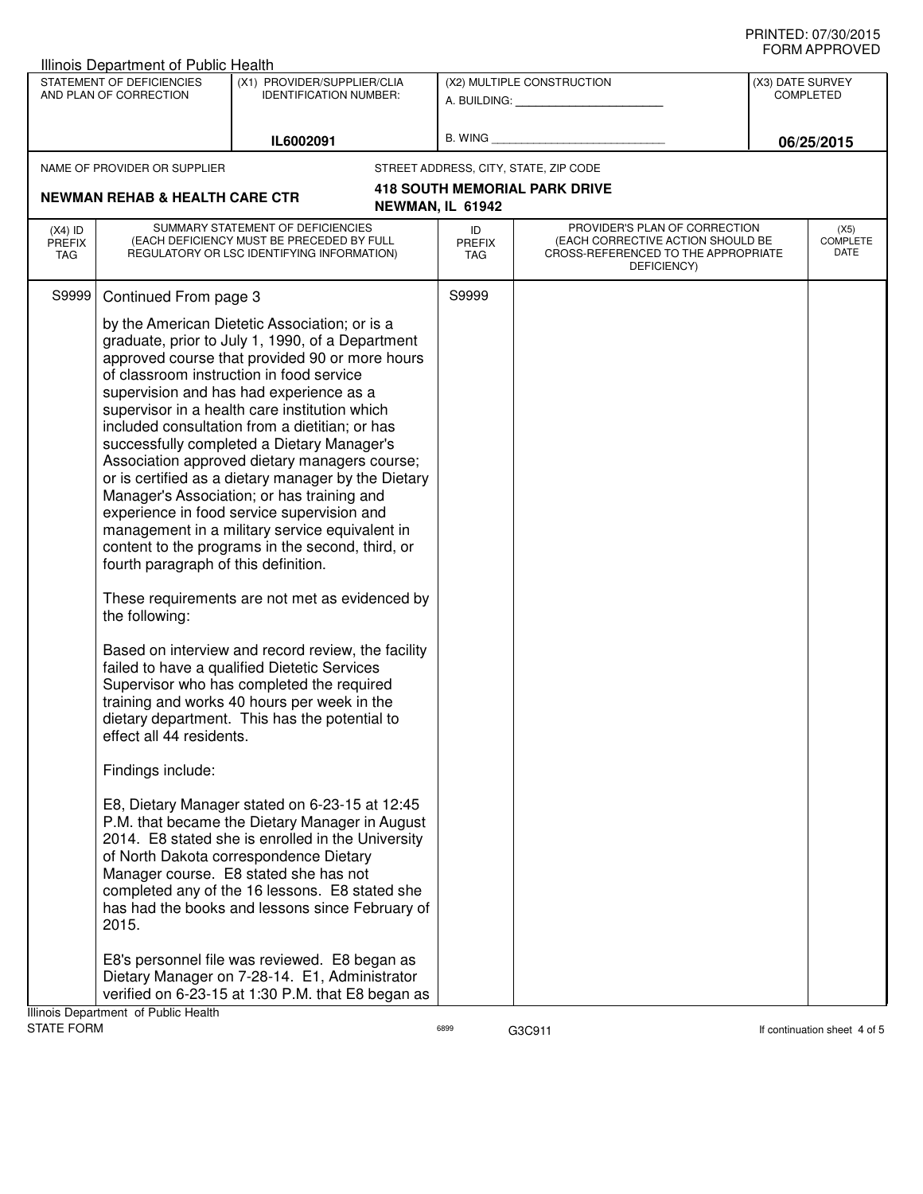| Illinois Department of Public Health                                                                                                               |                                                                                                                                                                                                                                                                                                                                                                                                                                                                                                                                                                                                                                                                                                                                                                                                                                                                                                                                                                                                                                                                                                                                                                                                                                                                                                                                                                                                                                                               |                                                         |                                                                                                                          |                                      |                                 |
|----------------------------------------------------------------------------------------------------------------------------------------------------|---------------------------------------------------------------------------------------------------------------------------------------------------------------------------------------------------------------------------------------------------------------------------------------------------------------------------------------------------------------------------------------------------------------------------------------------------------------------------------------------------------------------------------------------------------------------------------------------------------------------------------------------------------------------------------------------------------------------------------------------------------------------------------------------------------------------------------------------------------------------------------------------------------------------------------------------------------------------------------------------------------------------------------------------------------------------------------------------------------------------------------------------------------------------------------------------------------------------------------------------------------------------------------------------------------------------------------------------------------------------------------------------------------------------------------------------------------------|---------------------------------------------------------|--------------------------------------------------------------------------------------------------------------------------|--------------------------------------|---------------------------------|
| STATEMENT OF DEFICIENCIES<br>(X1) PROVIDER/SUPPLIER/CLIA<br>AND PLAN OF CORRECTION<br><b>IDENTIFICATION NUMBER:</b>                                |                                                                                                                                                                                                                                                                                                                                                                                                                                                                                                                                                                                                                                                                                                                                                                                                                                                                                                                                                                                                                                                                                                                                                                                                                                                                                                                                                                                                                                                               | (X2) MULTIPLE CONSTRUCTION<br>A. BUILDING: A. BUILDING: |                                                                                                                          | (X3) DATE SURVEY<br><b>COMPLETED</b> |                                 |
|                                                                                                                                                    |                                                                                                                                                                                                                                                                                                                                                                                                                                                                                                                                                                                                                                                                                                                                                                                                                                                                                                                                                                                                                                                                                                                                                                                                                                                                                                                                                                                                                                                               |                                                         |                                                                                                                          |                                      |                                 |
|                                                                                                                                                    | IL6002091                                                                                                                                                                                                                                                                                                                                                                                                                                                                                                                                                                                                                                                                                                                                                                                                                                                                                                                                                                                                                                                                                                                                                                                                                                                                                                                                                                                                                                                     | <b>B. WING</b>                                          |                                                                                                                          |                                      | 06/25/2015                      |
| NAME OF PROVIDER OR SUPPLIER                                                                                                                       |                                                                                                                                                                                                                                                                                                                                                                                                                                                                                                                                                                                                                                                                                                                                                                                                                                                                                                                                                                                                                                                                                                                                                                                                                                                                                                                                                                                                                                                               |                                                         | STREET ADDRESS, CITY, STATE, ZIP CODE                                                                                    |                                      |                                 |
| <b>NEWMAN REHAB &amp; HEALTH CARE CTR</b>                                                                                                          |                                                                                                                                                                                                                                                                                                                                                                                                                                                                                                                                                                                                                                                                                                                                                                                                                                                                                                                                                                                                                                                                                                                                                                                                                                                                                                                                                                                                                                                               | NEWMAN, IL 61942                                        | <b>418 SOUTH MEMORIAL PARK DRIVE</b>                                                                                     |                                      |                                 |
| $(X4)$ ID<br><b>PREFIX</b><br>TAG                                                                                                                  | SUMMARY STATEMENT OF DEFICIENCIES<br>(EACH DEFICIENCY MUST BE PRECEDED BY FULL<br>REGULATORY OR LSC IDENTIFYING INFORMATION)                                                                                                                                                                                                                                                                                                                                                                                                                                                                                                                                                                                                                                                                                                                                                                                                                                                                                                                                                                                                                                                                                                                                                                                                                                                                                                                                  | ID<br><b>PREFIX</b><br>TAG                              | PROVIDER'S PLAN OF CORRECTION<br>(EACH CORRECTIVE ACTION SHOULD BE<br>CROSS-REFERENCED TO THE APPROPRIATE<br>DEFICIENCY) |                                      | (X5)<br><b>COMPLETE</b><br>DATE |
| S9999<br>Continued From page 3<br>fourth paragraph of this definition.<br>the following:<br>effect all 44 residents.<br>Findings include:<br>2015. | by the American Dietetic Association; or is a<br>graduate, prior to July 1, 1990, of a Department<br>approved course that provided 90 or more hours<br>of classroom instruction in food service<br>supervision and has had experience as a<br>supervisor in a health care institution which<br>included consultation from a dietitian; or has<br>successfully completed a Dietary Manager's<br>Association approved dietary managers course;<br>or is certified as a dietary manager by the Dietary<br>Manager's Association; or has training and<br>experience in food service supervision and<br>management in a military service equivalent in<br>content to the programs in the second, third, or<br>These requirements are not met as evidenced by<br>Based on interview and record review, the facility<br>failed to have a qualified Dietetic Services<br>Supervisor who has completed the required<br>training and works 40 hours per week in the<br>dietary department. This has the potential to<br>E8, Dietary Manager stated on 6-23-15 at 12:45<br>P.M. that became the Dietary Manager in August<br>2014. E8 stated she is enrolled in the University<br>of North Dakota correspondence Dietary<br>Manager course. E8 stated she has not<br>completed any of the 16 lessons. E8 stated she<br>has had the books and lessons since February of<br>E8's personnel file was reviewed. E8 began as<br>Dietary Manager on 7-28-14. E1, Administrator | S9999                                                   |                                                                                                                          |                                      |                                 |
| Illinois Department of Public Health                                                                                                               | verified on 6-23-15 at 1:30 P.M. that E8 began as                                                                                                                                                                                                                                                                                                                                                                                                                                                                                                                                                                                                                                                                                                                                                                                                                                                                                                                                                                                                                                                                                                                                                                                                                                                                                                                                                                                                             |                                                         |                                                                                                                          |                                      |                                 |
| <b>STATE FORM</b>                                                                                                                                  |                                                                                                                                                                                                                                                                                                                                                                                                                                                                                                                                                                                                                                                                                                                                                                                                                                                                                                                                                                                                                                                                                                                                                                                                                                                                                                                                                                                                                                                               | 6899                                                    | G3C911                                                                                                                   |                                      | If continuation sheet 4 of 5    |